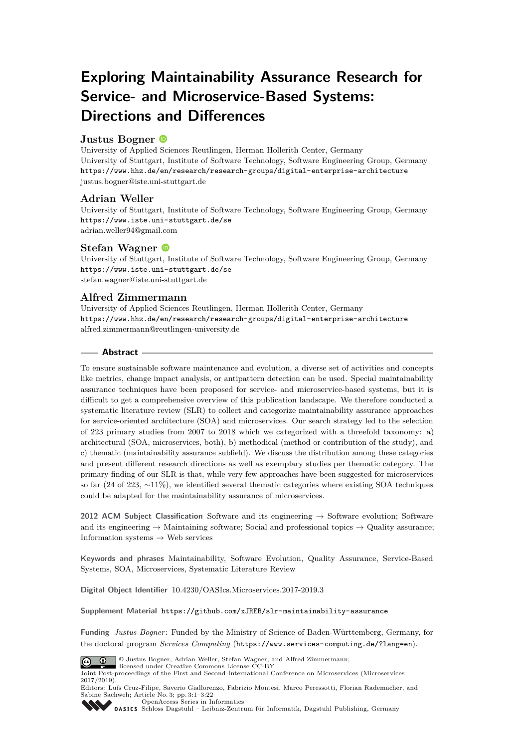# **Exploring Maintainability Assurance Research for Service- and Microservice-Based Systems: Directions and Differences**

# **Justus Bogner**

University of Applied Sciences Reutlingen, Herman Hollerith Center, Germany University of Stuttgart, Institute of Software Technology, Software Engineering Group, Germany <https://www.hhz.de/en/research/research-groups/digital-enterprise-architecture> [justus.bogner@iste.uni-stuttgart.de](mailto:justus.bogner@iste.uni-stuttgart.de)

# **Adrian Weller**

University of Stuttgart, Institute of Software Technology, Software Engineering Group, Germany <https://www.iste.uni-stuttgart.de/se> [adrian.weller94@gmail.com](mailto:adrian.weller94@gmail.com)

# **Stefan Wagner**

University of Stuttgart, Institute of Software Technology, Software Engineering Group, Germany <https://www.iste.uni-stuttgart.de/se> [stefan.wagner@iste.uni-stuttgart.de](mailto:stefan.wagner@iste.uni-stuttgart.de)

# **Alfred Zimmermann**

University of Applied Sciences Reutlingen, Herman Hollerith Center, Germany <https://www.hhz.de/en/research/research-groups/digital-enterprise-architecture> [alfred.zimmermann@reutlingen-university.de](mailto:alfred.zimmermann@reutlingen-university.de)

### **Abstract**

To ensure sustainable software maintenance and evolution, a diverse set of activities and concepts like metrics, change impact analysis, or antipattern detection can be used. Special maintainability assurance techniques have been proposed for service- and microservice-based systems, but it is difficult to get a comprehensive overview of this publication landscape. We therefore conducted a systematic literature review (SLR) to collect and categorize maintainability assurance approaches for service-oriented architecture (SOA) and microservices. Our search strategy led to the selection of 223 primary studies from 2007 to 2018 which we categorized with a threefold taxonomy: a) architectural (SOA, microservices, both), b) methodical (method or contribution of the study), and c) thematic (maintainability assurance subfield). We discuss the distribution among these categories and present different research directions as well as exemplary studies per thematic category. The primary finding of our SLR is that, while very few approaches have been suggested for microservices so far (24 of 223, ∼11%), we identified several thematic categories where existing SOA techniques could be adapted for the maintainability assurance of microservices.

**2012 ACM Subject Classification** Software and its engineering → Software evolution; Software and its engineering  $\rightarrow$  Maintaining software; Social and professional topics  $\rightarrow$  Quality assurance; Information systems  $\rightarrow$  Web services

**Keywords and phrases** Maintainability, Software Evolution, Quality Assurance, Service-Based Systems, SOA, Microservices, Systematic Literature Review

**Digital Object Identifier** [10.4230/OASIcs.Microservices.2017-2019.3](https://doi.org/10.4230/OASIcs.Microservices.2017-2019.3)

**Supplement Material** <https://github.com/xJREB/slr-maintainability-assurance>

**Funding** *Justus Bogner*: Funded by the Ministry of Science of Baden-Württemberg, Germany, for the doctoral program *Services Computing* (<https://www.services-computing.de/?lang=en>).



© Justus Bogner, Adrian Weller, Stefan Wagner, and Alfred Zimmermann;

licensed under Creative Commons License CC-BY

Joint Post-proceedings of the First and Second International Conference on Microservices (Microservices 2017/2019).

Editors: Luís Cruz-Filipe, Saverio Giallorenzo, Fabrizio Montesi, Marco Peressotti, Florian Rademacher, and Sabine Sachweh; Article No. 3; pp. 3:1–3[:22](#page-21-0)



[OpenAccess Series in Informatics](https://www.dagstuhl.de/oasics/) [Schloss Dagstuhl – Leibniz-Zentrum für Informatik, Dagstuhl Publishing, Germany](https://www.dagstuhl.de)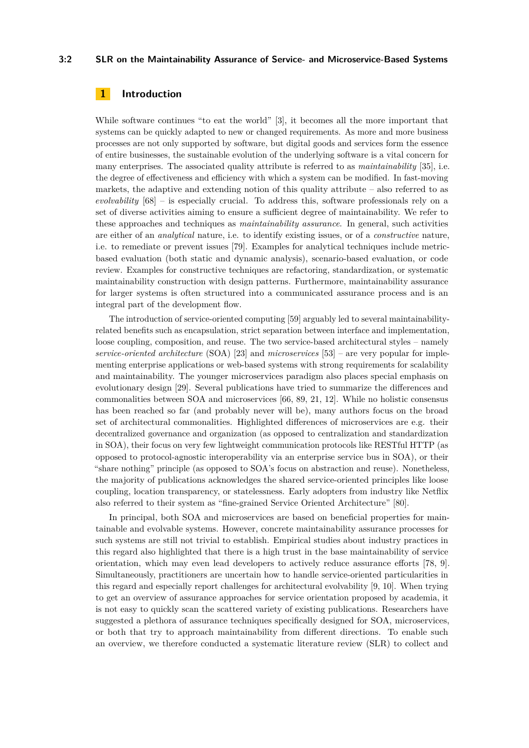#### **3:2 SLR on the Maintainability Assurance of Service- and Microservice-Based Systems**

# <span id="page-1-0"></span>**1 Introduction**

While software continues "to eat the world" [\[3\]](#page-15-0), it becomes all the more important that systems can be quickly adapted to new or changed requirements. As more and more business processes are not only supported by software, but digital goods and services form the essence of entire businesses, the sustainable evolution of the underlying software is a vital concern for many enterprises. The associated quality attribute is referred to as *maintainability* [\[35\]](#page-17-0), i.e. the degree of effectiveness and efficiency with which a system can be modified. In fast-moving markets, the adaptive and extending notion of this quality attribute – also referred to as *evolvability* [\[68\]](#page-19-0) – is especially crucial. To address this, software professionals rely on a set of diverse activities aiming to ensure a sufficient degree of maintainability. We refer to these approaches and techniques as *maintainability assurance*. In general, such activities are either of an *analytical* nature, i.e. to identify existing issues, or of a *constructive* nature, i.e. to remediate or prevent issues [\[79\]](#page-20-0). Examples for analytical techniques include metricbased evaluation (both static and dynamic analysis), scenario-based evaluation, or code review. Examples for constructive techniques are refactoring, standardization, or systematic maintainability construction with design patterns. Furthermore, maintainability assurance for larger systems is often structured into a communicated assurance process and is an integral part of the development flow.

The introduction of service-oriented computing [\[59\]](#page-19-1) arguably led to several maintainabilityrelated benefits such as encapsulation, strict separation between interface and implementation, loose coupling, composition, and reuse. The two service-based architectural styles – namely *service-oriented architecture* (SOA) [\[23\]](#page-16-0) and *microservices* [\[53\]](#page-18-0) – are very popular for implementing enterprise applications or web-based systems with strong requirements for scalability and maintainability. The younger microservices paradigm also places special emphasis on evolutionary design [\[29\]](#page-17-1). Several publications have tried to summarize the differences and commonalities between SOA and microservices [\[66,](#page-19-2) [89,](#page-21-1) [21,](#page-16-1) [12\]](#page-15-1). While no holistic consensus has been reached so far (and probably never will be), many authors focus on the broad set of architectural commonalities. Highlighted differences of microservices are e.g. their decentralized governance and organization (as opposed to centralization and standardization in SOA), their focus on very few lightweight communication protocols like RESTful HTTP (as opposed to protocol-agnostic interoperability via an enterprise service bus in SOA), or their "share nothing" principle (as opposed to SOA's focus on abstraction and reuse). Nonetheless, the majority of publications acknowledges the shared service-oriented principles like loose coupling, location transparency, or statelessness. Early adopters from industry like Netflix also referred to their system as "fine-grained Service Oriented Architecture" [\[80\]](#page-20-1).

In principal, both SOA and microservices are based on beneficial properties for maintainable and evolvable systems. However, concrete maintainability assurance processes for such systems are still not trivial to establish. Empirical studies about industry practices in this regard also highlighted that there is a high trust in the base maintainability of service orientation, which may even lead developers to actively reduce assurance efforts [\[78,](#page-20-2) [9\]](#page-15-2). Simultaneously, practitioners are uncertain how to handle service-oriented particularities in this regard and especially report challenges for architectural evolvability [\[9,](#page-15-2) [10\]](#page-15-3). When trying to get an overview of assurance approaches for service orientation proposed by academia, it is not easy to quickly scan the scattered variety of existing publications. Researchers have suggested a plethora of assurance techniques specifically designed for SOA, microservices, or both that try to approach maintainability from different directions. To enable such an overview, we therefore conducted a systematic literature review (SLR) to collect and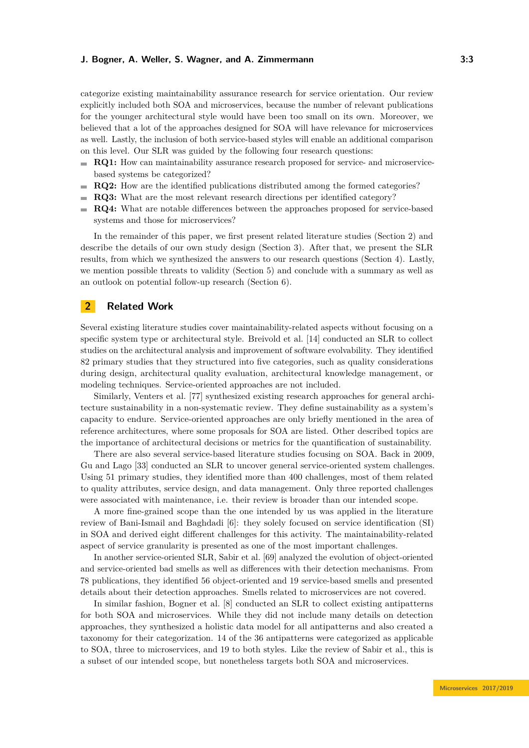categorize existing maintainability assurance research for service orientation. Our review explicitly included both SOA and microservices, because the number of relevant publications for the younger architectural style would have been too small on its own. Moreover, we believed that a lot of the approaches designed for SOA will have relevance for microservices as well. Lastly, the inclusion of both service-based styles will enable an additional comparison on this level. Our SLR was guided by the following four research questions:

- **RQ1:** How can maintainability assurance research proposed for service- and microservicebased systems be categorized?
- **RQ2:** How are the identified publications distributed among the formed categories?  $\sim$
- **RQ3:** What are the most relevant research directions per identified category?
- **RQ4:** What are notable differences between the approaches proposed for service-based systems and those for microservices?

In the remainder of this paper, we first present related literature studies (Section [2\)](#page-2-0) and describe the details of our own study design (Section [3\)](#page-3-0). After that, we present the SLR results, from which we synthesized the answers to our research questions (Section [4\)](#page-5-0). Lastly, we mention possible threats to validity (Section [5\)](#page-14-0) and conclude with a summary as well as an outlook on potential follow-up research (Section [6\)](#page-14-1).

### <span id="page-2-0"></span>**2 Related Work**

Several existing literature studies cover maintainability-related aspects without focusing on a specific system type or architectural style. Breivold et al. [\[14\]](#page-16-2) conducted an SLR to collect studies on the architectural analysis and improvement of software evolvability. They identified 82 primary studies that they structured into five categories, such as quality considerations during design, architectural quality evaluation, architectural knowledge management, or modeling techniques. Service-oriented approaches are not included.

Similarly, Venters et al. [\[77\]](#page-20-3) synthesized existing research approaches for general architecture sustainability in a non-systematic review. They define sustainability as a system's capacity to endure. Service-oriented approaches are only briefly mentioned in the area of reference architectures, where some proposals for SOA are listed. Other described topics are the importance of architectural decisions or metrics for the quantification of sustainability.

There are also several service-based literature studies focusing on SOA. Back in 2009, Gu and Lago [\[33\]](#page-17-2) conducted an SLR to uncover general service-oriented system challenges. Using 51 primary studies, they identified more than 400 challenges, most of them related to quality attributes, service design, and data management. Only three reported challenges were associated with maintenance, i.e. their review is broader than our intended scope.

A more fine-grained scope than the one intended by us was applied in the literature review of Bani-Ismail and Baghdadi [\[6\]](#page-15-4): they solely focused on service identification (SI) in SOA and derived eight different challenges for this activity. The maintainability-related aspect of service granularity is presented as one of the most important challenges.

In another service-oriented SLR, Sabir et al. [\[69\]](#page-19-3) analyzed the evolution of object-oriented and service-oriented bad smells as well as differences with their detection mechanisms. From 78 publications, they identified 56 object-oriented and 19 service-based smells and presented details about their detection approaches. Smells related to microservices are not covered.

In similar fashion, Bogner et al. [\[8\]](#page-15-5) conducted an SLR to collect existing antipatterns for both SOA and microservices. While they did not include many details on detection approaches, they synthesized a holistic data model for all antipatterns and also created a taxonomy for their categorization. 14 of the 36 antipatterns were categorized as applicable to SOA, three to microservices, and 19 to both styles. Like the review of Sabir et al., this is a subset of our intended scope, but nonetheless targets both SOA and microservices.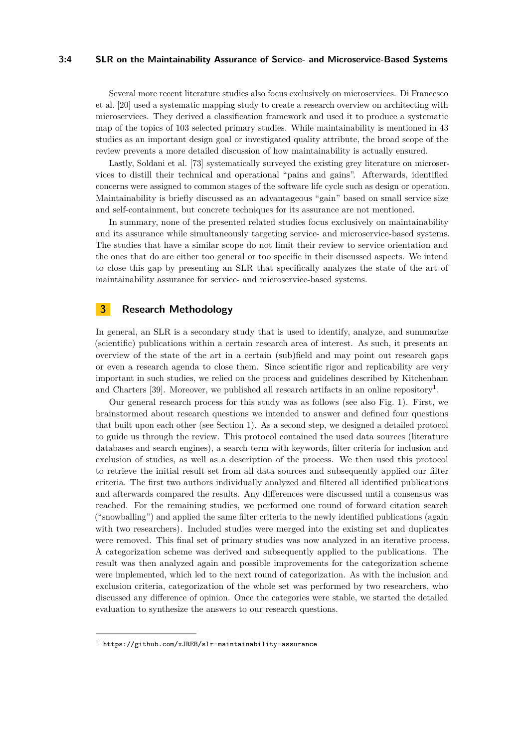#### **3:4 SLR on the Maintainability Assurance of Service- and Microservice-Based Systems**

Several more recent literature studies also focus exclusively on microservices. Di Francesco et al. [\[20\]](#page-16-3) used a systematic mapping study to create a research overview on architecting with microservices. They derived a classification framework and used it to produce a systematic map of the topics of 103 selected primary studies. While maintainability is mentioned in 43 studies as an important design goal or investigated quality attribute, the broad scope of the review prevents a more detailed discussion of how maintainability is actually ensured.

Lastly, Soldani et al. [\[73\]](#page-19-4) systematically surveyed the existing grey literature on microservices to distill their technical and operational "pains and gains". Afterwards, identified concerns were assigned to common stages of the software life cycle such as design or operation. Maintainability is briefly discussed as an advantageous "gain" based on small service size and self-containment, but concrete techniques for its assurance are not mentioned.

In summary, none of the presented related studies focus exclusively on maintainability and its assurance while simultaneously targeting service- and microservice-based systems. The studies that have a similar scope do not limit their review to service orientation and the ones that do are either too general or too specific in their discussed aspects. We intend to close this gap by presenting an SLR that specifically analyzes the state of the art of maintainability assurance for service- and microservice-based systems.

# <span id="page-3-0"></span>**3 Research Methodology**

In general, an SLR is a secondary study that is used to identify, analyze, and summarize (scientific) publications within a certain research area of interest. As such, it presents an overview of the state of the art in a certain (sub)field and may point out research gaps or even a research agenda to close them. Since scientific rigor and replicability are very important in such studies, we relied on the process and guidelines described by Kitchenham and Charters [\[39\]](#page-17-3). Moreover, we published all research artifacts in an online repository<sup>[1](#page-3-1)</sup>.

Our general research process for this study was as follows (see also Fig. [1\)](#page-4-0). First, we brainstormed about research questions we intended to answer and defined four questions that built upon each other (see Section [1\)](#page-1-0). As a second step, we designed a detailed protocol to guide us through the review. This protocol contained the used data sources (literature databases and search engines), a search term with keywords, filter criteria for inclusion and exclusion of studies, as well as a description of the process. We then used this protocol to retrieve the initial result set from all data sources and subsequently applied our filter criteria. The first two authors individually analyzed and filtered all identified publications and afterwards compared the results. Any differences were discussed until a consensus was reached. For the remaining studies, we performed one round of forward citation search ("snowballing") and applied the same filter criteria to the newly identified publications (again with two researchers). Included studies were merged into the existing set and duplicates were removed. This final set of primary studies was now analyzed in an iterative process. A categorization scheme was derived and subsequently applied to the publications. The result was then analyzed again and possible improvements for the categorization scheme were implemented, which led to the next round of categorization. As with the inclusion and exclusion criteria, categorization of the whole set was performed by two researchers, who discussed any difference of opinion. Once the categories were stable, we started the detailed evaluation to synthesize the answers to our research questions.

<span id="page-3-1"></span><sup>1</sup> <https://github.com/xJREB/slr-maintainability-assurance>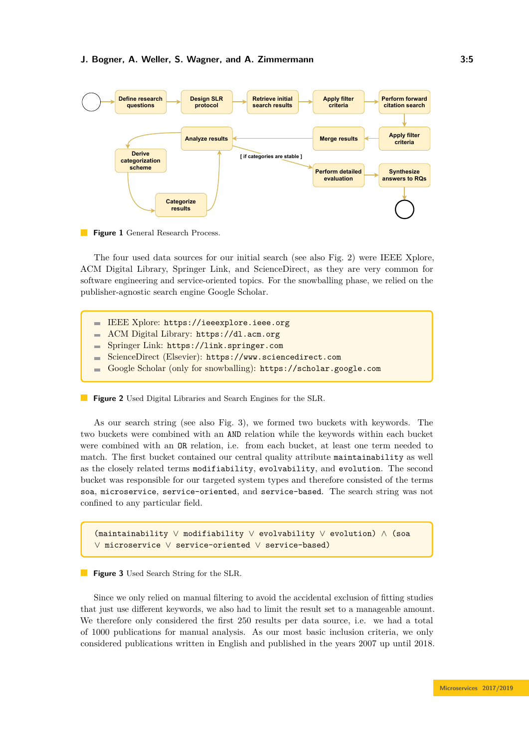<span id="page-4-0"></span>

**Figure 1** General Research Process.

The four used data sources for our initial search (see also Fig. [2\)](#page-4-1) were IEEE Xplore, ACM Digital Library, Springer Link, and ScienceDirect, as they are very common for software engineering and service-oriented topics. For the snowballing phase, we relied on the publisher-agnostic search engine Google Scholar.

- <span id="page-4-1"></span>IEEE Xplore: <https://ieeexplore.ieee.org> m.
- ACM Digital Library: <https://dl.acm.org>  $\blacksquare$
- Springer Link: <https://link.springer.com>  $\sim$
- ScienceDirect (Elsevier): <https://www.sciencedirect.com>  $\sim$
- Google Scholar (only for snowballing): <https://scholar.google.com>

**Figure 2** Used Digital Libraries and Search Engines for the SLR.

As our search string (see also Fig. [3\)](#page-4-2), we formed two buckets with keywords. The two buckets were combined with an AND relation while the keywords within each bucket were combined with an OR relation, i.e. from each bucket, at least one term needed to match. The first bucket contained our central quality attribute maintainability as well as the closely related terms modifiability, evolvability, and evolution. The second bucket was responsible for our targeted system types and therefore consisted of the terms soa, microservice, service-oriented, and service-based. The search string was not confined to any particular field.

```
(maintainability ∨ modifiability ∨ evolvability ∨ evolution) ∧ (soa
∨ microservice ∨ service-oriented ∨ service-based)
```
**Figure 3** Used Search String for the SLR.

Since we only relied on manual filtering to avoid the accidental exclusion of fitting studies that just use different keywords, we also had to limit the result set to a manageable amount. We therefore only considered the first 250 results per data source, i.e. we had a total of 1000 publications for manual analysis. As our most basic inclusion criteria, we only considered publications written in English and published in the years 2007 up until 2018.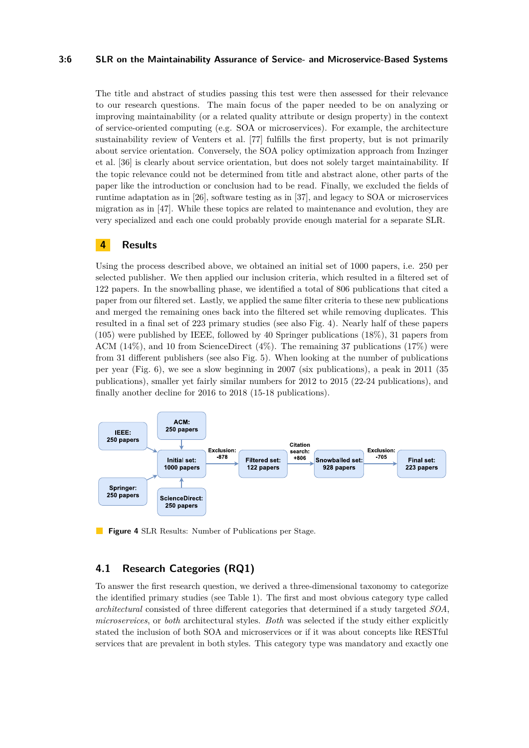#### **3:6 SLR on the Maintainability Assurance of Service- and Microservice-Based Systems**

The title and abstract of studies passing this test were then assessed for their relevance to our research questions. The main focus of the paper needed to be on analyzing or improving maintainability (or a related quality attribute or design property) in the context of service-oriented computing (e.g. SOA or microservices). For example, the architecture sustainability review of Venters et al. [\[77\]](#page-20-3) fulfills the first property, but is not primarily about service orientation. Conversely, the SOA policy optimization approach from Inzinger et al. [\[36\]](#page-17-4) is clearly about service orientation, but does not solely target maintainability. If the topic relevance could not be determined from title and abstract alone, other parts of the paper like the introduction or conclusion had to be read. Finally, we excluded the fields of runtime adaptation as in [\[26\]](#page-16-4), software testing as in [\[37\]](#page-17-5), and legacy to SOA or microservices migration as in [\[47\]](#page-18-1). While these topics are related to maintenance and evolution, they are very specialized and each one could probably provide enough material for a separate SLR.

### <span id="page-5-0"></span>**4 Results**

Using the process described above, we obtained an initial set of 1000 papers, i.e. 250 per selected publisher. We then applied our inclusion criteria, which resulted in a filtered set of 122 papers. In the snowballing phase, we identified a total of 806 publications that cited a paper from our filtered set. Lastly, we applied the same filter criteria to these new publications and merged the remaining ones back into the filtered set while removing duplicates. This resulted in a final set of 223 primary studies (see also Fig. [4\)](#page-5-1). Nearly half of these papers (105) were published by IEEE, followed by 40 Springer publications (18%), 31 papers from ACM (14%), and 10 from ScienceDirect (4%). The remaining 37 publications (17%) were from 31 different publishers (see also Fig. [5\)](#page-6-0). When looking at the number of publications per year (Fig. [6\)](#page-6-0), we see a slow beginning in 2007 (six publications), a peak in 2011 (35 publications), smaller yet fairly similar numbers for 2012 to 2015 (22-24 publications), and finally another decline for 2016 to 2018 (15-18 publications).

<span id="page-5-1"></span>

**Figure 4** SLR Results: Number of Publications per Stage.

### **4.1 Research Categories (RQ1)**

To answer the first research question, we derived a three-dimensional taxonomy to categorize the identified primary studies (see Table [1\)](#page-6-1). The first and most obvious category type called *architectural* consisted of three different categories that determined if a study targeted *SOA*, *microservices*, or *both* architectural styles. *Both* was selected if the study either explicitly stated the inclusion of both SOA and microservices or if it was about concepts like RESTful services that are prevalent in both styles. This category type was mandatory and exactly one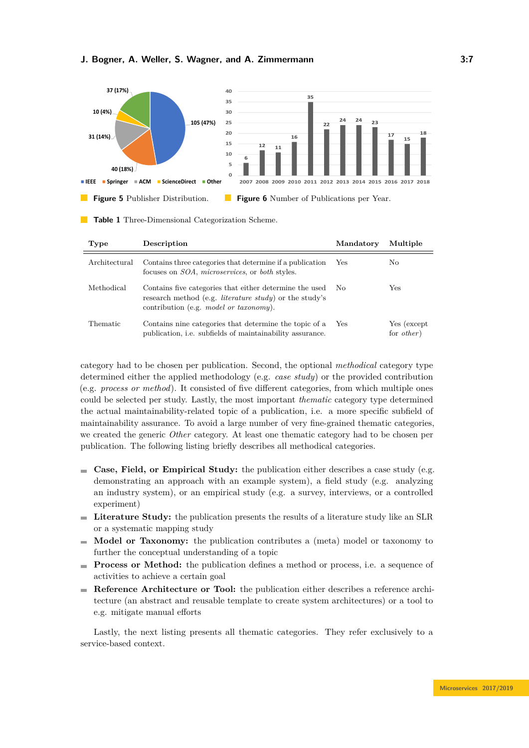<span id="page-6-0"></span>

<span id="page-6-1"></span>**Table 1** Three-Dimensional Categorization Scheme.

| Type          | Description                                                                                                                                                         | Mandatory  | Multiple                           |
|---------------|---------------------------------------------------------------------------------------------------------------------------------------------------------------------|------------|------------------------------------|
| Architectural | Contains three categories that determine if a publication<br>focuses on <i>SOA</i> , <i>microservices</i> , or <i>both</i> styles.                                  | <b>Yes</b> | No.                                |
| Methodical    | Contains five categories that either determine the used<br>research method (e.g. <i>literature study</i> ) or the study's<br>contribution (e.g. model or taxonomy). | - No       | Yes.                               |
| Thematic      | Contains nine categories that determine the topic of a<br>publication, <i>i.e.</i> subfields of maintainability assurance.                                          | Yes.       | Yes (except)<br>for <i>other</i> ) |

category had to be chosen per publication. Second, the optional *methodical* category type determined either the applied methodology (e.g. *case study*) or the provided contribution (e.g. *process or method*). It consisted of five different categories, from which multiple ones could be selected per study. Lastly, the most important *thematic* category type determined the actual maintainability-related topic of a publication, i.e. a more specific subfield of maintainability assurance. To avoid a large number of very fine-grained thematic categories, we created the generic *Other* category. At least one thematic category had to be chosen per publication. The following listing briefly describes all methodical categories.

- **Case, Field, or Empirical Study:** the publication either describes a case study (e.g.  $\mathcal{L}_{\mathcal{A}}$ demonstrating an approach with an example system), a field study (e.g. analyzing an industry system), or an empirical study (e.g. a survey, interviews, or a controlled experiment)
- **Literature Study:** the publication presents the results of a literature study like an SLR or a systematic mapping study
- **Model or Taxonomy:** the publication contributes a (meta) model or taxonomy to further the conceptual understanding of a topic
- **Process or Method:** the publication defines a method or process, i.e. a sequence of activities to achieve a certain goal
- **Reference Architecture or Tool:** the publication either describes a reference architecture (an abstract and reusable template to create system architectures) or a tool to e.g. mitigate manual efforts

Lastly, the next listing presents all thematic categories. They refer exclusively to a service-based context.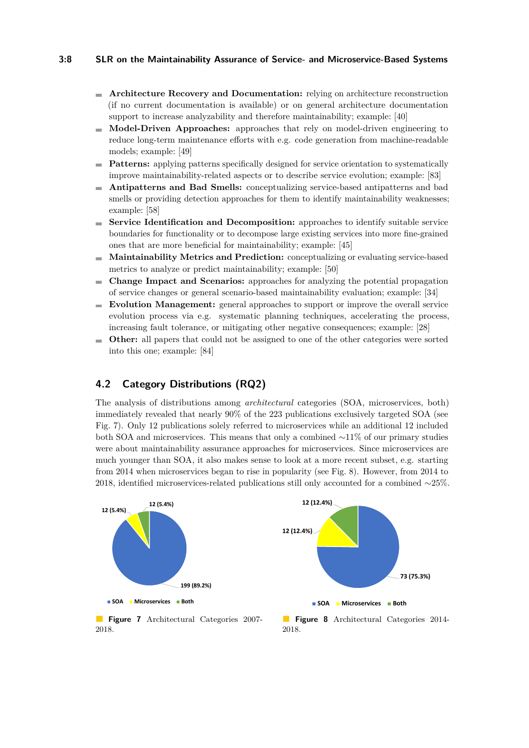### **3:8 SLR on the Maintainability Assurance of Service- and Microservice-Based Systems**

- **Architecture Recovery and Documentation:** relying on architecture reconstruction (if no current documentation is available) or on general architecture documentation support to increase analyzability and therefore maintainability; example: [\[40\]](#page-17-6)
- **Model-Driven Approaches:** approaches that rely on model-driven engineering to reduce long-term maintenance efforts with e.g. code generation from machine-readable models; example: [\[49\]](#page-18-2)
- **Patterns:** applying patterns specifically designed for service orientation to systematically improve maintainability-related aspects or to describe service evolution; example: [\[83\]](#page-20-4)
- **Antipatterns and Bad Smells:** conceptualizing service-based antipatterns and bad smells or providing detection approaches for them to identify maintainability weaknesses; example: [\[58\]](#page-18-3)
- **Service Identification and Decomposition:** approaches to identify suitable service m. boundaries for functionality or to decompose large existing services into more fine-grained ones that are more beneficial for maintainability; example: [\[45\]](#page-18-4)
- **Maintainability Metrics and Prediction:** conceptualizing or evaluating service-based m. metrics to analyze or predict maintainability; example: [\[50\]](#page-18-5)
- **Change Impact and Scenarios:** approaches for analyzing the potential propagation m. of service changes or general scenario-based maintainability evaluation; example: [\[34\]](#page-17-7)
- **Evolution Management:** general approaches to support or improve the overall service evolution process via e.g. systematic planning techniques, accelerating the process, increasing fault tolerance, or mitigating other negative consequences; example: [\[28\]](#page-16-5)
- **Other:** all papers that could not be assigned to one of the other categories were sorted  $\sim$ into this one; example: [\[84\]](#page-20-5)

# **4.2 Category Distributions (RQ2)**

The analysis of distributions among *architectural* categories (SOA, microservices, both) immediately revealed that nearly 90% of the 223 publications exclusively targeted SOA (see Fig. [7\)](#page-7-0). Only 12 publications solely referred to microservices while an additional 12 included both SOA and microservices. This means that only a combined ∼11% of our primary studies were about maintainability assurance approaches for microservices. Since microservices are much younger than SOA, it also makes sense to look at a more recent subset, e.g. starting from 2014 when microservices began to rise in popularity (see Fig. [8\)](#page-7-0). However, from 2014 to 2018, identified microservices-related publications still only accounted for a combined ∼25%.

<span id="page-7-0"></span>

**Figure 7** Architectural Categories 2007- 2018.

**Figure 8** Architectural Categories 2014- 2018.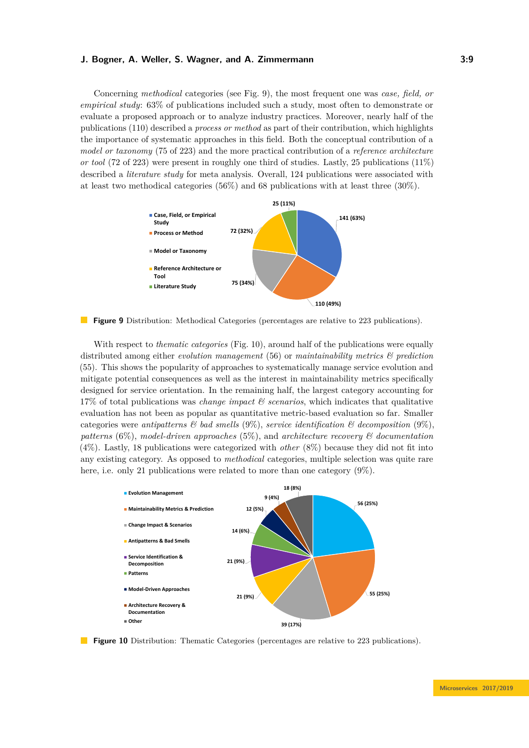Concerning *methodical* categories (see Fig. [9\)](#page-8-0), the most frequent one was *case, field, or empirical study*: 63% of publications included such a study, most often to demonstrate or evaluate a proposed approach or to analyze industry practices. Moreover, nearly half of the publications (110) described a *process or method* as part of their contribution, which highlights the importance of systematic approaches in this field. Both the conceptual contribution of a *model or taxonomy* (75 of 223) and the more practical contribution of a *reference architecture or tool* (72 of 223) were present in roughly one third of studies. Lastly, 25 publications (11%) described a *literature study* for meta analysis. Overall, 124 publications were associated with at least two methodical categories (56%) and 68 publications with at least three (30%).

<span id="page-8-0"></span>

**Figure 9** Distribution: Methodical Categories (percentages are relative to 223 publications).

With respect to *thematic categories* (Fig. [10\)](#page-8-1), around half of the publications were equally distributed among either *evolution management* (56) or *maintainability metrics & prediction* (55). This shows the popularity of approaches to systematically manage service evolution and mitigate potential consequences as well as the interest in maintainability metrics specifically designed for service orientation. In the remaining half, the largest category accounting for 17% of total publications was *change impact & scenarios*, which indicates that qualitative evaluation has not been as popular as quantitative metric-based evaluation so far. Smaller categories were *antipatterns*  $\mathscr{C}$  *bad smells* (9%), *service identification*  $\mathscr{C}$  *decomposition* (9%), *patterns* (6%), *model-driven approaches* (5%), and *architecture recovery & documentation* (4%). Lastly, 18 publications were categorized with *other* (8%) because they did not fit into any existing category. As opposed to *methodical* categories, multiple selection was quite rare here, i.e. only 21 publications were related to more than one category  $(9\%)$ .

<span id="page-8-1"></span>

**Figure 10** Distribution: Thematic Categories (percentages are relative to 223 publications).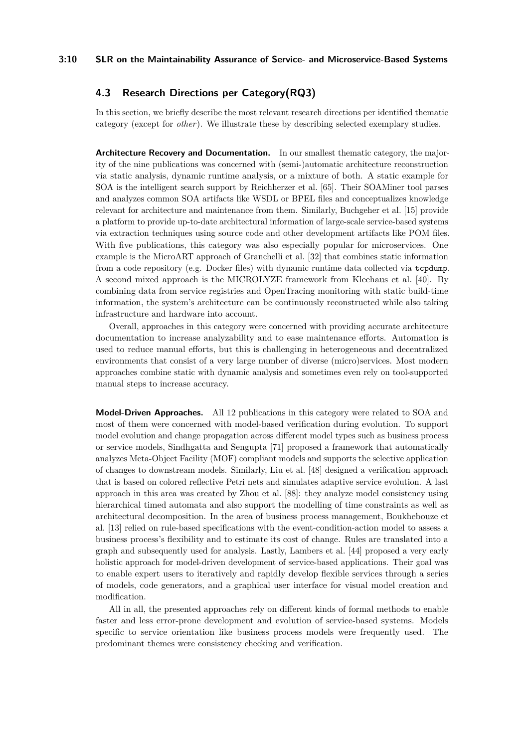#### **3:10 SLR on the Maintainability Assurance of Service- and Microservice-Based Systems**

### **4.3 Research Directions per Category(RQ3)**

In this section, we briefly describe the most relevant research directions per identified thematic category (except for *other*). We illustrate these by describing selected exemplary studies.

**Architecture Recovery and Documentation.** In our smallest thematic category, the majority of the nine publications was concerned with (semi-)automatic architecture reconstruction via static analysis, dynamic runtime analysis, or a mixture of both. A static example for SOA is the intelligent search support by Reichherzer et al. [\[65\]](#page-19-5). Their SOAMiner tool parses and analyzes common SOA artifacts like WSDL or BPEL files and conceptualizes knowledge relevant for architecture and maintenance from them. Similarly, Buchgeher et al. [\[15\]](#page-16-6) provide a platform to provide up-to-date architectural information of large-scale service-based systems via extraction techniques using source code and other development artifacts like POM files. With five publications, this category was also especially popular for microservices. One example is the MicroART approach of Granchelli et al. [\[32\]](#page-17-8) that combines static information from a code repository (e.g. Docker files) with dynamic runtime data collected via tcpdump. A second mixed approach is the MICROLYZE framework from Kleehaus et al. [\[40\]](#page-17-6). By combining data from service registries and OpenTracing monitoring with static build-time information, the system's architecture can be continuously reconstructed while also taking infrastructure and hardware into account.

Overall, approaches in this category were concerned with providing accurate architecture documentation to increase analyzability and to ease maintenance efforts. Automation is used to reduce manual efforts, but this is challenging in heterogeneous and decentralized environments that consist of a very large number of diverse (micro)services. Most modern approaches combine static with dynamic analysis and sometimes even rely on tool-supported manual steps to increase accuracy.

**Model-Driven Approaches.** All 12 publications in this category were related to SOA and most of them were concerned with model-based verification during evolution. To support model evolution and change propagation across different model types such as business process or service models, Sindhgatta and Sengupta [\[71\]](#page-19-6) proposed a framework that automatically analyzes Meta-Object Facility (MOF) compliant models and supports the selective application of changes to downstream models. Similarly, Liu et al. [\[48\]](#page-18-6) designed a verification approach that is based on colored reflective Petri nets and simulates adaptive service evolution. A last approach in this area was created by Zhou et al. [\[88\]](#page-20-6): they analyze model consistency using hierarchical timed automata and also support the modelling of time constraints as well as architectural decomposition. In the area of business process management, Boukhebouze et al. [\[13\]](#page-15-6) relied on rule-based specifications with the event-condition-action model to assess a business process's flexibility and to estimate its cost of change. Rules are translated into a graph and subsequently used for analysis. Lastly, Lambers et al. [\[44\]](#page-18-7) proposed a very early holistic approach for model-driven development of service-based applications. Their goal was to enable expert users to iteratively and rapidly develop flexible services through a series of models, code generators, and a graphical user interface for visual model creation and modification.

All in all, the presented approaches rely on different kinds of formal methods to enable faster and less error-prone development and evolution of service-based systems. Models specific to service orientation like business process models were frequently used. The predominant themes were consistency checking and verification.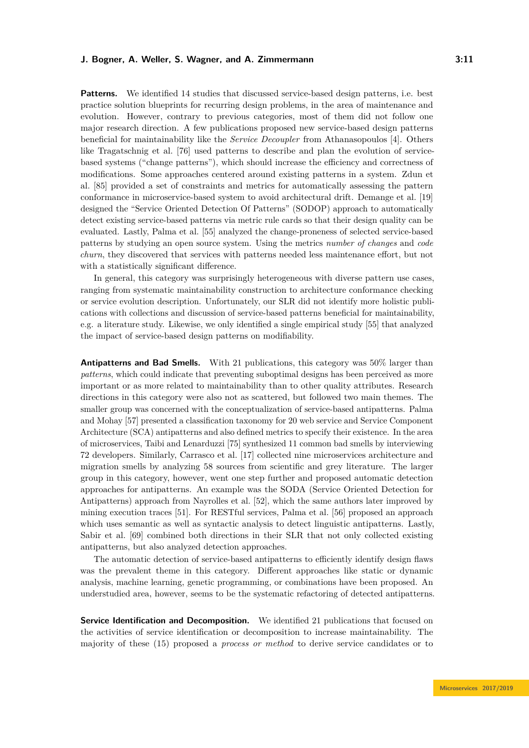**Patterns.** We identified 14 studies that discussed service-based design patterns, i.e. best practice solution blueprints for recurring design problems, in the area of maintenance and evolution. However, contrary to previous categories, most of them did not follow one major research direction. A few publications proposed new service-based design patterns beneficial for maintainability like the *Service Decoupler* from Athanasopoulos [\[4\]](#page-15-7). Others like Tragatschnig et al. [\[76\]](#page-20-7) used patterns to describe and plan the evolution of servicebased systems ("change patterns"), which should increase the efficiency and correctness of modifications. Some approaches centered around existing patterns in a system. Zdun et al. [\[85\]](#page-20-8) provided a set of constraints and metrics for automatically assessing the pattern conformance in microservice-based system to avoid architectural drift. Demange et al. [\[19\]](#page-16-7) designed the "Service Oriented Detection Of Patterns" (SODOP) approach to automatically detect existing service-based patterns via metric rule cards so that their design quality can be evaluated. Lastly, Palma et al. [\[55\]](#page-18-8) analyzed the change-proneness of selected service-based patterns by studying an open source system. Using the metrics *number of changes* and *code churn*, they discovered that services with patterns needed less maintenance effort, but not with a statistically significant difference.

In general, this category was surprisingly heterogeneous with diverse pattern use cases, ranging from systematic maintainability construction to architecture conformance checking or service evolution description. Unfortunately, our SLR did not identify more holistic publications with collections and discussion of service-based patterns beneficial for maintainability, e.g. a literature study. Likewise, we only identified a single empirical study [\[55\]](#page-18-8) that analyzed the impact of service-based design patterns on modifiability.

**Antipatterns and Bad Smells.** With 21 publications, this category was 50% larger than *patterns*, which could indicate that preventing suboptimal designs has been perceived as more important or as more related to maintainability than to other quality attributes. Research directions in this category were also not as scattered, but followed two main themes. The smaller group was concerned with the conceptualization of service-based antipatterns. Palma and Mohay [\[57\]](#page-18-9) presented a classification taxonomy for 20 web service and Service Component Architecture (SCA) antipatterns and also defined metrics to specify their existence. In the area of microservices, Taibi and Lenarduzzi [\[75\]](#page-20-9) synthesized 11 common bad smells by interviewing 72 developers. Similarly, Carrasco et al. [\[17\]](#page-16-8) collected nine microservices architecture and migration smells by analyzing 58 sources from scientific and grey literature. The larger group in this category, however, went one step further and proposed automatic detection approaches for antipatterns. An example was the SODA (Service Oriented Detection for Antipatterns) approach from Nayrolles et al. [\[52\]](#page-18-10), which the same authors later improved by mining execution traces [\[51\]](#page-18-11). For RESTful services, Palma et al. [\[56\]](#page-18-12) proposed an approach which uses semantic as well as syntactic analysis to detect linguistic antipatterns. Lastly, Sabir et al. [\[69\]](#page-19-3) combined both directions in their SLR that not only collected existing antipatterns, but also analyzed detection approaches.

The automatic detection of service-based antipatterns to efficiently identify design flaws was the prevalent theme in this category. Different approaches like static or dynamic analysis, machine learning, genetic programming, or combinations have been proposed. An understudied area, however, seems to be the systematic refactoring of detected antipatterns.

**Service Identification and Decomposition.** We identified 21 publications that focused on the activities of service identification or decomposition to increase maintainability. The majority of these (15) proposed a *process or method* to derive service candidates or to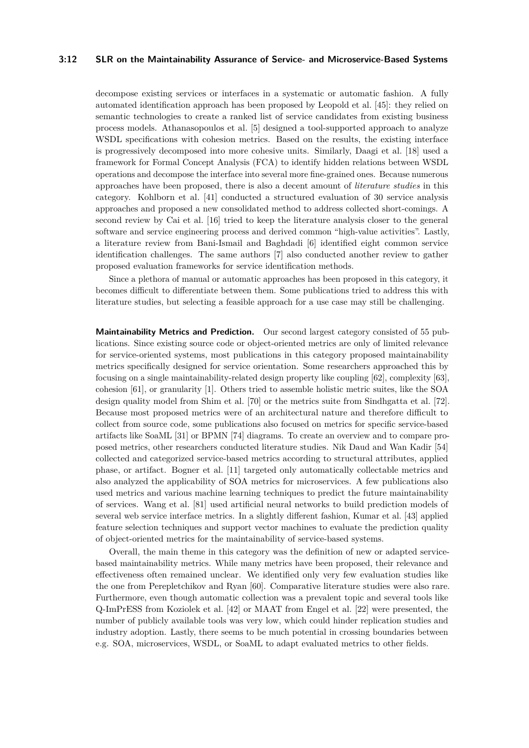#### **3:12 SLR on the Maintainability Assurance of Service- and Microservice-Based Systems**

decompose existing services or interfaces in a systematic or automatic fashion. A fully automated identification approach has been proposed by Leopold et al. [\[45\]](#page-18-4): they relied on semantic technologies to create a ranked list of service candidates from existing business process models. Athanasopoulos et al. [\[5\]](#page-15-8) designed a tool-supported approach to analyze WSDL specifications with cohesion metrics. Based on the results, the existing interface is progressively decomposed into more cohesive units. Similarly, Daagi et al. [\[18\]](#page-16-9) used a framework for Formal Concept Analysis (FCA) to identify hidden relations between WSDL operations and decompose the interface into several more fine-grained ones. Because numerous approaches have been proposed, there is also a decent amount of *literature studies* in this category. Kohlborn et al. [\[41\]](#page-17-9) conducted a structured evaluation of 30 service analysis approaches and proposed a new consolidated method to address collected short-comings. A second review by Cai et al. [\[16\]](#page-16-10) tried to keep the literature analysis closer to the general software and service engineering process and derived common "high-value activities". Lastly, a literature review from Bani-Ismail and Baghdadi [\[6\]](#page-15-4) identified eight common service identification challenges. The same authors [\[7\]](#page-15-9) also conducted another review to gather proposed evaluation frameworks for service identification methods.

Since a plethora of manual or automatic approaches has been proposed in this category, it becomes difficult to differentiate between them. Some publications tried to address this with literature studies, but selecting a feasible approach for a use case may still be challenging.

**Maintainability Metrics and Prediction.** Our second largest category consisted of 55 publications. Since existing source code or object-oriented metrics are only of limited relevance for service-oriented systems, most publications in this category proposed maintainability metrics specifically designed for service orientation. Some researchers approached this by focusing on a single maintainability-related design property like coupling [\[62\]](#page-19-7), complexity [\[63\]](#page-19-8), cohesion [\[61\]](#page-19-9), or granularity [\[1\]](#page-15-10). Others tried to assemble holistic metric suites, like the SOA design quality model from Shim et al. [\[70\]](#page-19-10) or the metrics suite from Sindhgatta et al. [\[72\]](#page-19-11). Because most proposed metrics were of an architectural nature and therefore difficult to collect from source code, some publications also focused on metrics for specific service-based artifacts like SoaML [\[31\]](#page-17-10) or BPMN [\[74\]](#page-20-10) diagrams. To create an overview and to compare proposed metrics, other researchers conducted literature studies. Nik Daud and Wan Kadir [\[54\]](#page-18-13) collected and categorized service-based metrics according to structural attributes, applied phase, or artifact. Bogner et al. [\[11\]](#page-15-11) targeted only automatically collectable metrics and also analyzed the applicability of SOA metrics for microservices. A few publications also used metrics and various machine learning techniques to predict the future maintainability of services. Wang et al. [\[81\]](#page-20-11) used artificial neural networks to build prediction models of several web service interface metrics. In a slightly different fashion, Kumar et al. [\[43\]](#page-17-11) applied feature selection techniques and support vector machines to evaluate the prediction quality of object-oriented metrics for the maintainability of service-based systems.

Overall, the main theme in this category was the definition of new or adapted servicebased maintainability metrics. While many metrics have been proposed, their relevance and effectiveness often remained unclear. We identified only very few evaluation studies like the one from Perepletchikov and Ryan [\[60\]](#page-19-12). Comparative literature studies were also rare. Furthermore, even though automatic collection was a prevalent topic and several tools like Q-ImPrESS from Koziolek et al. [\[42\]](#page-17-12) or MAAT from Engel et al. [\[22\]](#page-16-11) were presented, the number of publicly available tools was very low, which could hinder replication studies and industry adoption. Lastly, there seems to be much potential in crossing boundaries between e.g. SOA, microservices, WSDL, or SoaML to adapt evaluated metrics to other fields.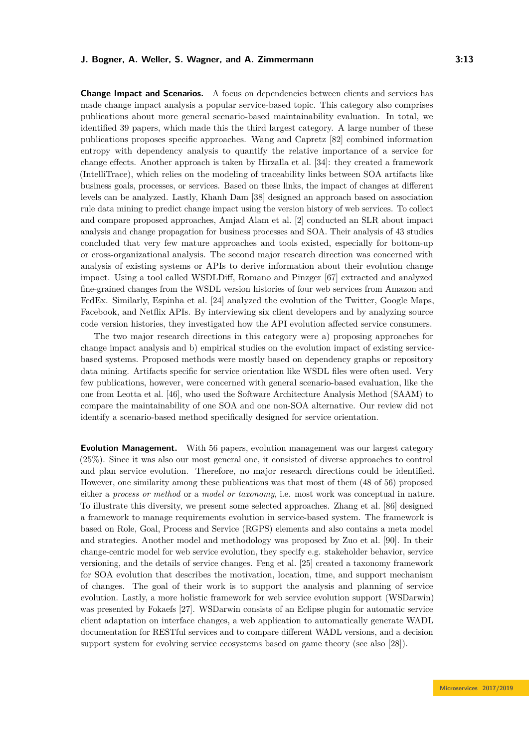**Change Impact and Scenarios.** A focus on dependencies between clients and services has made change impact analysis a popular service-based topic. This category also comprises publications about more general scenario-based maintainability evaluation. In total, we identified 39 papers, which made this the third largest category. A large number of these publications proposes specific approaches. Wang and Capretz [\[82\]](#page-20-12) combined information entropy with dependency analysis to quantify the relative importance of a service for change effects. Another approach is taken by Hirzalla et al. [\[34\]](#page-17-7): they created a framework (IntelliTrace), which relies on the modeling of traceability links between SOA artifacts like business goals, processes, or services. Based on these links, the impact of changes at different levels can be analyzed. Lastly, Khanh Dam [\[38\]](#page-17-13) designed an approach based on association rule data mining to predict change impact using the version history of web services. To collect and compare proposed approaches, Amjad Alam et al. [\[2\]](#page-15-12) conducted an SLR about impact analysis and change propagation for business processes and SOA. Their analysis of 43 studies concluded that very few mature approaches and tools existed, especially for bottom-up or cross-organizational analysis. The second major research direction was concerned with analysis of existing systems or APIs to derive information about their evolution change impact. Using a tool called WSDLDiff, Romano and Pinzger [\[67\]](#page-19-13) extracted and analyzed fine-grained changes from the WSDL version histories of four web services from Amazon and FedEx. Similarly, Espinha et al. [\[24\]](#page-16-12) analyzed the evolution of the Twitter, Google Maps, Facebook, and Netflix APIs. By interviewing six client developers and by analyzing source code version histories, they investigated how the API evolution affected service consumers.

The two major research directions in this category were a) proposing approaches for change impact analysis and b) empirical studies on the evolution impact of existing servicebased systems. Proposed methods were mostly based on dependency graphs or repository data mining. Artifacts specific for service orientation like WSDL files were often used. Very few publications, however, were concerned with general scenario-based evaluation, like the one from Leotta et al. [\[46\]](#page-18-14), who used the Software Architecture Analysis Method (SAAM) to compare the maintainability of one SOA and one non-SOA alternative. Our review did not identify a scenario-based method specifically designed for service orientation.

**Evolution Management.** With 56 papers, evolution management was our largest category (25%). Since it was also our most general one, it consisted of diverse approaches to control and plan service evolution. Therefore, no major research directions could be identified. However, one similarity among these publications was that most of them (48 of 56) proposed either a *process or method* or a *model or taxonomy*, i.e. most work was conceptual in nature. To illustrate this diversity, we present some selected approaches. Zhang et al. [\[86\]](#page-20-13) designed a framework to manage requirements evolution in service-based system. The framework is based on Role, Goal, Process and Service (RGPS) elements and also contains a meta model and strategies. Another model and methodology was proposed by Zuo et al. [\[90\]](#page-21-2). In their change-centric model for web service evolution, they specify e.g. stakeholder behavior, service versioning, and the details of service changes. Feng et al. [\[25\]](#page-16-13) created a taxonomy framework for SOA evolution that describes the motivation, location, time, and support mechanism of changes. The goal of their work is to support the analysis and planning of service evolution. Lastly, a more holistic framework for web service evolution support (WSDarwin) was presented by Fokaefs [\[27\]](#page-16-14). WSDarwin consists of an Eclipse plugin for automatic service client adaptation on interface changes, a web application to automatically generate WADL documentation for RESTful services and to compare different WADL versions, and a decision support system for evolving service ecosystems based on game theory (see also [\[28\]](#page-16-5)).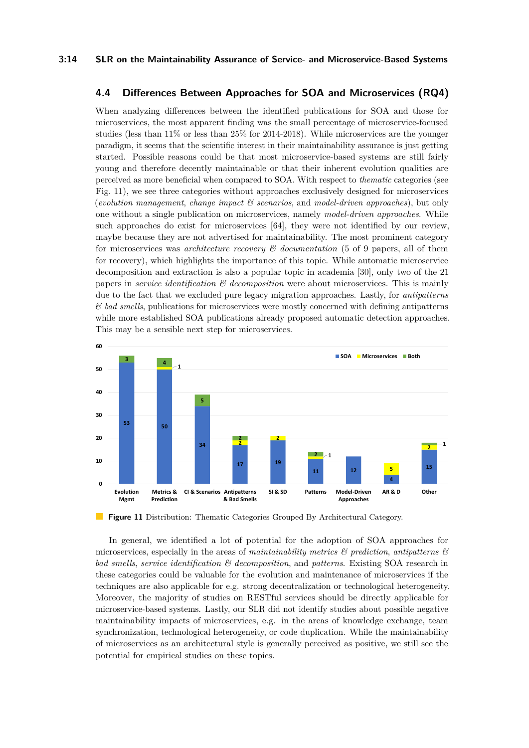### **4.4 Differences Between Approaches for SOA and Microservices (RQ4)**

When analyzing differences between the identified publications for SOA and those for microservices, the most apparent finding was the small percentage of microservice-focused studies (less than 11% or less than 25% for 2014-2018). While microservices are the younger paradigm, it seems that the scientific interest in their maintainability assurance is just getting started. Possible reasons could be that most microservice-based systems are still fairly young and therefore decently maintainable or that their inherent evolution qualities are perceived as more beneficial when compared to SOA. With respect to *thematic* categories (see Fig. [11\)](#page-13-0), we see three categories without approaches exclusively designed for microservices (*evolution management*, *change impact & scenarios*, and *model-driven approaches*), but only one without a single publication on microservices, namely *model-driven approaches*. While such approaches do exist for microservices [\[64\]](#page-19-14), they were not identified by our review, maybe because they are not advertised for maintainability. The most prominent category for microservices was *architecture recovery & documentation* (5 of 9 papers, all of them for recovery), which highlights the importance of this topic. While automatic microservice decomposition and extraction is also a popular topic in academia [\[30\]](#page-17-14), only two of the 21 papers in *service identification & decomposition* were about microservices. This is mainly due to the fact that we excluded pure legacy migration approaches. Lastly, for *antipatterns & bad smells*, publications for microservices were mostly concerned with defining antipatterns while more established SOA publications already proposed automatic detection approaches. This may be a sensible next step for microservices.

<span id="page-13-0"></span>

**Figure 11** Distribution: Thematic Categories Grouped By Architectural Category.

In general, we identified a lot of potential for the adoption of SOA approaches for microservices, especially in the areas of *maintainability metrics & prediction*, *antipatterns & bad smells*, *service identification & decomposition*, and *patterns*. Existing SOA research in these categories could be valuable for the evolution and maintenance of microservices if the techniques are also applicable for e.g. strong decentralization or technological heterogeneity. Moreover, the majority of studies on RESTful services should be directly applicable for microservice-based systems. Lastly, our SLR did not identify studies about possible negative maintainability impacts of microservices, e.g. in the areas of knowledge exchange, team synchronization, technological heterogeneity, or code duplication. While the maintainability of microservices as an architectural style is generally perceived as positive, we still see the potential for empirical studies on these topics.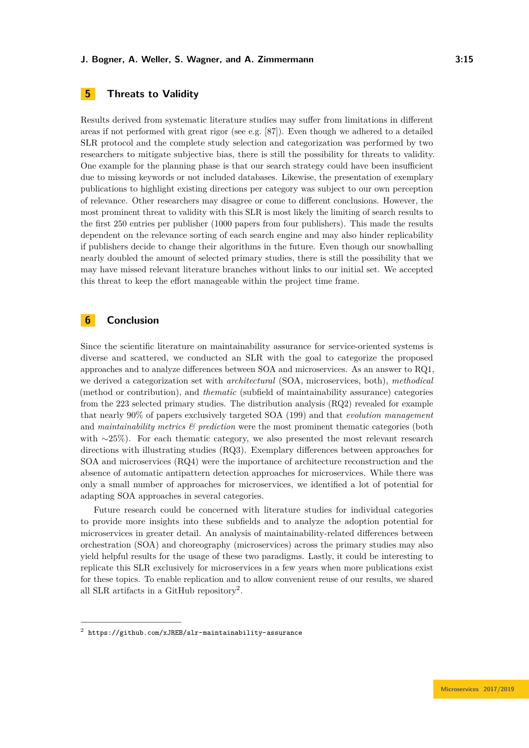# <span id="page-14-0"></span>**5 Threats to Validity**

Results derived from systematic literature studies may suffer from limitations in different areas if not performed with great rigor (see e.g. [\[87\]](#page-20-14)). Even though we adhered to a detailed SLR protocol and the complete study selection and categorization was performed by two researchers to mitigate subjective bias, there is still the possibility for threats to validity. One example for the planning phase is that our search strategy could have been insufficient due to missing keywords or not included databases. Likewise, the presentation of exemplary publications to highlight existing directions per category was subject to our own perception of relevance. Other researchers may disagree or come to different conclusions. However, the most prominent threat to validity with this SLR is most likely the limiting of search results to the first 250 entries per publisher (1000 papers from four publishers). This made the results dependent on the relevance sorting of each search engine and may also hinder replicability if publishers decide to change their algorithms in the future. Even though our snowballing nearly doubled the amount of selected primary studies, there is still the possibility that we may have missed relevant literature branches without links to our initial set. We accepted this threat to keep the effort manageable within the project time frame.

### <span id="page-14-1"></span>**6 Conclusion**

Since the scientific literature on maintainability assurance for service-oriented systems is diverse and scattered, we conducted an SLR with the goal to categorize the proposed approaches and to analyze differences between SOA and microservices. As an answer to RQ1, we derived a categorization set with *architectural* (SOA, microservices, both), *methodical* (method or contribution), and *thematic* (subfield of maintainability assurance) categories from the 223 selected primary studies. The distribution analysis (RQ2) revealed for example that nearly 90% of papers exclusively targeted SOA (199) and that *evolution management* and *maintainability metrics & prediction* were the most prominent thematic categories (both with ∼25%). For each thematic category, we also presented the most relevant research directions with illustrating studies (RQ3). Exemplary differences between approaches for SOA and microservices (RQ4) were the importance of architecture reconstruction and the absence of automatic antipattern detection approaches for microservices. While there was only a small number of approaches for microservices, we identified a lot of potential for adapting SOA approaches in several categories.

Future research could be concerned with literature studies for individual categories to provide more insights into these subfields and to analyze the adoption potential for microservices in greater detail. An analysis of maintainability-related differences between orchestration (SOA) and choreography (microservices) across the primary studies may also yield helpful results for the usage of these two paradigms. Lastly, it could be interesting to replicate this SLR exclusively for microservices in a few years when more publications exist for these topics. To enable replication and to allow convenient reuse of our results, we shared all SLR artifacts in a GitHub repository<sup>[2](#page-14-2)</sup>.

<span id="page-14-2"></span> $^{\rm 2}$  <https://github.com/xJREB/slr-maintainability-assurance>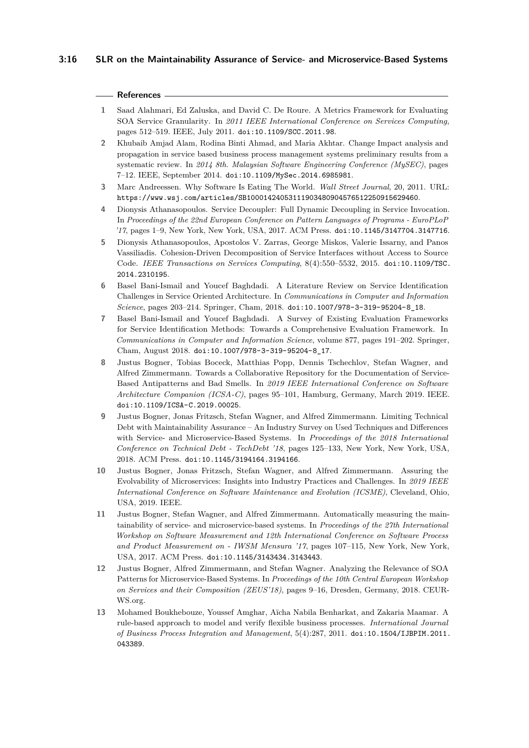#### **References**

- <span id="page-15-10"></span>**1** Saad Alahmari, Ed Zaluska, and David C. De Roure. A Metrics Framework for Evaluating SOA Service Granularity. In *2011 IEEE International Conference on Services Computing*, pages 512–519. IEEE, July 2011. [doi:10.1109/SCC.2011.98](https://doi.org/10.1109/SCC.2011.98).
- <span id="page-15-12"></span>**2** Khubaib Amjad Alam, Rodina Binti Ahmad, and Maria Akhtar. Change Impact analysis and propagation in service based business process management systems preliminary results from a systematic review. In *2014 8th. Malaysian Software Engineering Conference (MySEC)*, pages 7–12. IEEE, September 2014. [doi:10.1109/MySec.2014.6985981](https://doi.org/10.1109/MySec.2014.6985981).
- <span id="page-15-0"></span>**3** Marc Andreessen. Why Software Is Eating The World. *Wall Street Journal*, 20, 2011. URL: <https://www.wsj.com/articles/SB10001424053111903480904576512250915629460>.
- <span id="page-15-7"></span>**4** Dionysis Athanasopoulos. Service Decoupler: Full Dynamic Decoupling in Service Invocation. In *Proceedings of the 22nd European Conference on Pattern Languages of Programs - EuroPLoP '17*, pages 1–9, New York, New York, USA, 2017. ACM Press. [doi:10.1145/3147704.3147716](https://doi.org/10.1145/3147704.3147716).
- <span id="page-15-8"></span>**5** Dionysis Athanasopoulos, Apostolos V. Zarras, George Miskos, Valerie Issarny, and Panos Vassiliadis. Cohesion-Driven Decomposition of Service Interfaces without Access to Source Code. *IEEE Transactions on Services Computing*, 8(4):550–5532, 2015. [doi:10.1109/TSC.](https://doi.org/10.1109/TSC.2014.2310195) [2014.2310195](https://doi.org/10.1109/TSC.2014.2310195).
- <span id="page-15-4"></span>**6** Basel Bani-Ismail and Youcef Baghdadi. A Literature Review on Service Identification Challenges in Service Oriented Architecture. In *Communications in Computer and Information Science*, pages 203–214. Springer, Cham, 2018. [doi:10.1007/978-3-319-95204-8\\_18](https://doi.org/10.1007/978-3-319-95204-8_18).
- <span id="page-15-9"></span>**7** Basel Bani-Ismail and Youcef Baghdadi. A Survey of Existing Evaluation Frameworks for Service Identification Methods: Towards a Comprehensive Evaluation Framework. In *Communications in Computer and Information Science*, volume 877, pages 191–202. Springer, Cham, August 2018. [doi:10.1007/978-3-319-95204-8\\_17](https://doi.org/10.1007/978-3-319-95204-8_17).
- <span id="page-15-5"></span>**8** Justus Bogner, Tobias Boceck, Matthias Popp, Dennis Tschechlov, Stefan Wagner, and Alfred Zimmermann. Towards a Collaborative Repository for the Documentation of Service-Based Antipatterns and Bad Smells. In *2019 IEEE International Conference on Software Architecture Companion (ICSA-C)*, pages 95–101, Hamburg, Germany, March 2019. IEEE. [doi:10.1109/ICSA-C.2019.00025](https://doi.org/10.1109/ICSA-C.2019.00025).
- <span id="page-15-2"></span>**9** Justus Bogner, Jonas Fritzsch, Stefan Wagner, and Alfred Zimmermann. Limiting Technical Debt with Maintainability Assurance – An Industry Survey on Used Techniques and Differences with Service- and Microservice-Based Systems. In *Proceedings of the 2018 International Conference on Technical Debt - TechDebt '18*, pages 125–133, New York, New York, USA, 2018. ACM Press. [doi:10.1145/3194164.3194166](https://doi.org/10.1145/3194164.3194166).
- <span id="page-15-3"></span>**10** Justus Bogner, Jonas Fritzsch, Stefan Wagner, and Alfred Zimmermann. Assuring the Evolvability of Microservices: Insights into Industry Practices and Challenges. In *2019 IEEE International Conference on Software Maintenance and Evolution (ICSME)*, Cleveland, Ohio, USA, 2019. IEEE.
- <span id="page-15-11"></span>**11** Justus Bogner, Stefan Wagner, and Alfred Zimmermann. Automatically measuring the maintainability of service- and microservice-based systems. In *Proceedings of the 27th International Workshop on Software Measurement and 12th International Conference on Software Process and Product Measurement on - IWSM Mensura '17*, pages 107–115, New York, New York, USA, 2017. ACM Press. [doi:10.1145/3143434.3143443](https://doi.org/10.1145/3143434.3143443).
- <span id="page-15-1"></span>**12** Justus Bogner, Alfred Zimmermann, and Stefan Wagner. Analyzing the Relevance of SOA Patterns for Microservice-Based Systems. In *Proceedings of the 10th Central European Workshop on Services and their Composition (ZEUS'18)*, pages 9–16, Dresden, Germany, 2018. CEUR-WS.org.
- <span id="page-15-6"></span>**13** Mohamed Boukhebouze, Youssef Amghar, Aïcha Nabila Benharkat, and Zakaria Maamar. A rule-based approach to model and verify flexible business processes. *International Journal of Business Process Integration and Management*, 5(4):287, 2011. [doi:10.1504/IJBPIM.2011.](https://doi.org/10.1504/IJBPIM.2011.043389) [043389](https://doi.org/10.1504/IJBPIM.2011.043389).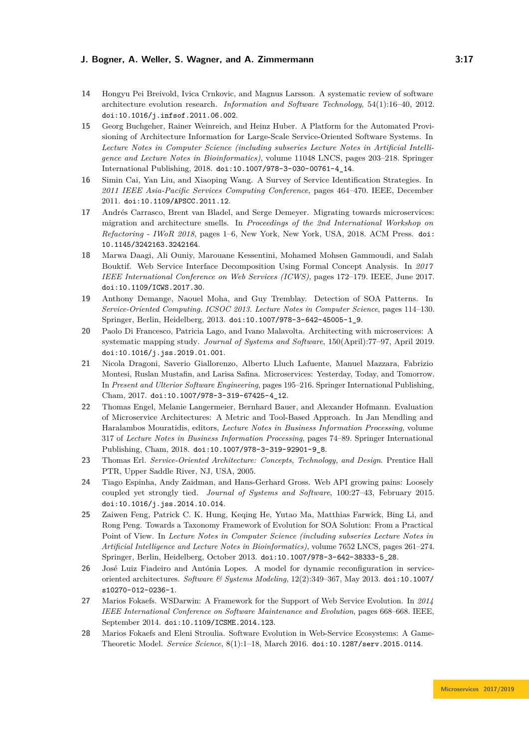- <span id="page-16-2"></span>**14** Hongyu Pei Breivold, Ivica Crnkovic, and Magnus Larsson. A systematic review of software architecture evolution research. *Information and Software Technology*, 54(1):16–40, 2012. [doi:10.1016/j.infsof.2011.06.002](https://doi.org/10.1016/j.infsof.2011.06.002).
- <span id="page-16-6"></span>**15** Georg Buchgeher, Rainer Weinreich, and Heinz Huber. A Platform for the Automated Provisioning of Architecture Information for Large-Scale Service-Oriented Software Systems. In *Lecture Notes in Computer Science (including subseries Lecture Notes in Artificial Intelligence and Lecture Notes in Bioinformatics)*, volume 11048 LNCS, pages 203–218. Springer International Publishing, 2018. [doi:10.1007/978-3-030-00761-4\\_14](https://doi.org/10.1007/978-3-030-00761-4_14).
- <span id="page-16-10"></span>**16** Simin Cai, Yan Liu, and Xiaoping Wang. A Survey of Service Identification Strategies. In *2011 IEEE Asia-Pacific Services Computing Conference*, pages 464–470. IEEE, December 2011. [doi:10.1109/APSCC.2011.12](https://doi.org/10.1109/APSCC.2011.12).
- <span id="page-16-8"></span>**17** Andrés Carrasco, Brent van Bladel, and Serge Demeyer. Migrating towards microservices: migration and architecture smells. In *Proceedings of the 2nd International Workshop on Refactoring - IWoR 2018*, pages 1–6, New York, New York, USA, 2018. ACM Press. [doi:](https://doi.org/10.1145/3242163.3242164) [10.1145/3242163.3242164](https://doi.org/10.1145/3242163.3242164).
- <span id="page-16-9"></span>**18** Marwa Daagi, Ali Ouniy, Marouane Kessentini, Mohamed Mohsen Gammoudi, and Salah Bouktif. Web Service Interface Decomposition Using Formal Concept Analysis. In *2017 IEEE International Conference on Web Services (ICWS)*, pages 172–179. IEEE, June 2017. [doi:10.1109/ICWS.2017.30](https://doi.org/10.1109/ICWS.2017.30).
- <span id="page-16-7"></span>**19** Anthony Demange, Naouel Moha, and Guy Tremblay. Detection of SOA Patterns. In *Service-Oriented Computing. ICSOC 2013. Lecture Notes in Computer Science*, pages 114–130. Springer, Berlin, Heidelberg, 2013. [doi:10.1007/978-3-642-45005-1\\_9](https://doi.org/10.1007/978-3-642-45005-1_9).
- <span id="page-16-3"></span>**20** Paolo Di Francesco, Patricia Lago, and Ivano Malavolta. Architecting with microservices: A systematic mapping study. *Journal of Systems and Software*, 150(April):77–97, April 2019. [doi:10.1016/j.jss.2019.01.001](https://doi.org/10.1016/j.jss.2019.01.001).
- <span id="page-16-1"></span>**21** Nicola Dragoni, Saverio Giallorenzo, Alberto Lluch Lafuente, Manuel Mazzara, Fabrizio Montesi, Ruslan Mustafin, and Larisa Safina. Microservices: Yesterday, Today, and Tomorrow. In *Present and Ulterior Software Engineering*, pages 195–216. Springer International Publishing, Cham, 2017. [doi:10.1007/978-3-319-67425-4\\_12](https://doi.org/10.1007/978-3-319-67425-4_12).
- <span id="page-16-11"></span>**22** Thomas Engel, Melanie Langermeier, Bernhard Bauer, and Alexander Hofmann. Evaluation of Microservice Architectures: A Metric and Tool-Based Approach. In Jan Mendling and Haralambos Mouratidis, editors, *Lecture Notes in Business Information Processing*, volume 317 of *Lecture Notes in Business Information Processing*, pages 74–89. Springer International Publishing, Cham, 2018. [doi:10.1007/978-3-319-92901-9\\_8](https://doi.org/10.1007/978-3-319-92901-9_8).
- <span id="page-16-0"></span>**23** Thomas Erl. *Service-Oriented Architecture: Concepts, Technology, and Design*. Prentice Hall PTR, Upper Saddle River, NJ, USA, 2005.
- <span id="page-16-12"></span>**24** Tiago Espinha, Andy Zaidman, and Hans-Gerhard Gross. Web API growing pains: Loosely coupled yet strongly tied. *Journal of Systems and Software*, 100:27–43, February 2015. [doi:10.1016/j.jss.2014.10.014](https://doi.org/10.1016/j.jss.2014.10.014).
- <span id="page-16-13"></span>**25** Zaiwen Feng, Patrick C. K. Hung, Keqing He, Yutao Ma, Matthias Farwick, Bing Li, and Rong Peng. Towards a Taxonomy Framework of Evolution for SOA Solution: From a Practical Point of View. In *Lecture Notes in Computer Science (including subseries Lecture Notes in Artificial Intelligence and Lecture Notes in Bioinformatics)*, volume 7652 LNCS, pages 261–274. Springer, Berlin, Heidelberg, October 2013. [doi:10.1007/978-3-642-38333-5\\_28](https://doi.org/10.1007/978-3-642-38333-5_28).
- <span id="page-16-4"></span>**26** José Luiz Fiadeiro and Antónia Lopes. A model for dynamic reconfiguration in serviceoriented architectures. *Software & Systems Modeling*, 12(2):349–367, May 2013. [doi:10.1007/](https://doi.org/10.1007/s10270-012-0236-1) [s10270-012-0236-1](https://doi.org/10.1007/s10270-012-0236-1).
- <span id="page-16-14"></span>**27** Marios Fokaefs. WSDarwin: A Framework for the Support of Web Service Evolution. In *2014 IEEE International Conference on Software Maintenance and Evolution*, pages 668–668. IEEE, September 2014. [doi:10.1109/ICSME.2014.123](https://doi.org/10.1109/ICSME.2014.123).
- <span id="page-16-5"></span>**28** Marios Fokaefs and Eleni Stroulia. Software Evolution in Web-Service Ecosystems: A Game-Theoretic Model. *Service Science*, 8(1):1–18, March 2016. [doi:10.1287/serv.2015.0114](https://doi.org/10.1287/serv.2015.0114).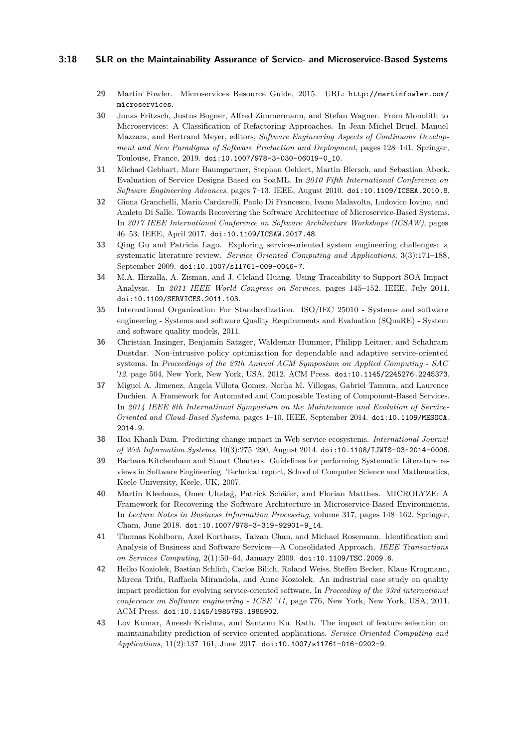#### **3:18 SLR on the Maintainability Assurance of Service- and Microservice-Based Systems**

- <span id="page-17-1"></span>**29** Martin Fowler. Microservices Resource Guide, 2015. URL: [http://martinfowler.com/](http://martinfowler.com/microservices) [microservices](http://martinfowler.com/microservices).
- <span id="page-17-14"></span>**30** Jonas Fritzsch, Justus Bogner, Alfred Zimmermann, and Stefan Wagner. From Monolith to Microservices: A Classification of Refactoring Approaches. In Jean-Michel Bruel, Manuel Mazzara, and Bertrand Meyer, editors, *Software Engineering Aspects of Continuous Development and New Paradigms of Software Production and Deployment*, pages 128–141. Springer, Toulouse, France, 2019. [doi:10.1007/978-3-030-06019-0\\_10](https://doi.org/10.1007/978-3-030-06019-0_10).
- <span id="page-17-10"></span>**31** Michael Gebhart, Marc Baumgartner, Stephan Oehlert, Martin Blersch, and Sebastian Abeck. Evaluation of Service Designs Based on SoaML. In *2010 Fifth International Conference on Software Engineering Advances*, pages 7–13. IEEE, August 2010. [doi:10.1109/ICSEA.2010.8](https://doi.org/10.1109/ICSEA.2010.8).
- <span id="page-17-8"></span>**32** Giona Granchelli, Mario Cardarelli, Paolo Di Francesco, Ivano Malavolta, Ludovico Iovino, and Amleto Di Salle. Towards Recovering the Software Architecture of Microservice-Based Systems. In *2017 IEEE International Conference on Software Architecture Workshops (ICSAW)*, pages 46–53. IEEE, April 2017. [doi:10.1109/ICSAW.2017.48](https://doi.org/10.1109/ICSAW.2017.48).
- <span id="page-17-2"></span>**33** Qing Gu and Patricia Lago. Exploring service-oriented system engineering challenges: a systematic literature review. *Service Oriented Computing and Applications*, 3(3):171–188, September 2009. [doi:10.1007/s11761-009-0046-7](https://doi.org/10.1007/s11761-009-0046-7).
- <span id="page-17-7"></span>**34** M.A. Hirzalla, A. Zisman, and J. Cleland-Huang. Using Traceability to Support SOA Impact Analysis. In *2011 IEEE World Congress on Services*, pages 145–152. IEEE, July 2011. [doi:10.1109/SERVICES.2011.103](https://doi.org/10.1109/SERVICES.2011.103).
- <span id="page-17-0"></span>**35** International Organization For Standardization. ISO/IEC 25010 - Systems and software engineering - Systems and software Quality Requirements and Evaluation (SQuaRE) - System and software quality models, 2011.
- <span id="page-17-4"></span>**36** Christian Inzinger, Benjamin Satzger, Waldemar Hummer, Philipp Leitner, and Schahram Dustdar. Non-intrusive policy optimization for dependable and adaptive service-oriented systems. In *Proceedings of the 27th Annual ACM Symposium on Applied Computing - SAC '12*, page 504, New York, New York, USA, 2012. ACM Press. [doi:10.1145/2245276.2245373](https://doi.org/10.1145/2245276.2245373).
- <span id="page-17-5"></span>**37** Miguel A. Jimenez, Angela Villota Gomez, Norha M. Villegas, Gabriel Tamura, and Laurence Duchien. A Framework for Automated and Composable Testing of Component-Based Services. In *2014 IEEE 8th International Symposium on the Maintenance and Evolution of Service-Oriented and Cloud-Based Systems*, pages 1–10. IEEE, September 2014. [doi:10.1109/MESOCA.](https://doi.org/10.1109/MESOCA.2014.9) [2014.9](https://doi.org/10.1109/MESOCA.2014.9).
- <span id="page-17-13"></span>**38** Hoa Khanh Dam. Predicting change impact in Web service ecosystems. *International Journal of Web Information Systems*, 10(3):275–290, August 2014. [doi:10.1108/IJWIS-03-2014-0006](https://doi.org/10.1108/IJWIS-03-2014-0006).
- <span id="page-17-3"></span>**39** Barbara Kitchenham and Stuart Charters. Guidelines for performing Systematic Literature reviews in Software Engineering. Technical report, School of Computer Science and Mathematics, Keele University, Keele, UK, 2007.
- <span id="page-17-6"></span>**40** Martin Kleehaus, Ömer Uludağ, Patrick Schäfer, and Florian Matthes. MICROLYZE: A Framework for Recovering the Software Architecture in Microservice-Based Environments. In *Lecture Notes in Business Information Processing*, volume 317, pages 148–162. Springer, Cham, June 2018. [doi:10.1007/978-3-319-92901-9\\_14](https://doi.org/10.1007/978-3-319-92901-9_14).
- <span id="page-17-9"></span>**41** Thomas Kohlborn, Axel Korthaus, Taizan Chan, and Michael Rosemann. Identification and Analysis of Business and Software Services—A Consolidated Approach. *IEEE Transactions on Services Computing*, 2(1):50–64, January 2009. [doi:10.1109/TSC.2009.6](https://doi.org/10.1109/TSC.2009.6).
- <span id="page-17-12"></span>**42** Heiko Koziolek, Bastian Schlich, Carlos Bilich, Roland Weiss, Steffen Becker, Klaus Krogmann, Mircea Trifu, Raffaela Mirandola, and Anne Koziolek. An industrial case study on quality impact prediction for evolving service-oriented software. In *Proceeding of the 33rd international conference on Software engineering - ICSE '11*, page 776, New York, New York, USA, 2011. ACM Press. [doi:10.1145/1985793.1985902](https://doi.org/10.1145/1985793.1985902).
- <span id="page-17-11"></span>**43** Lov Kumar, Aneesh Krishna, and Santanu Ku. Rath. The impact of feature selection on maintainability prediction of service-oriented applications. *Service Oriented Computing and Applications*, 11(2):137–161, June 2017. [doi:10.1007/s11761-016-0202-9](https://doi.org/10.1007/s11761-016-0202-9).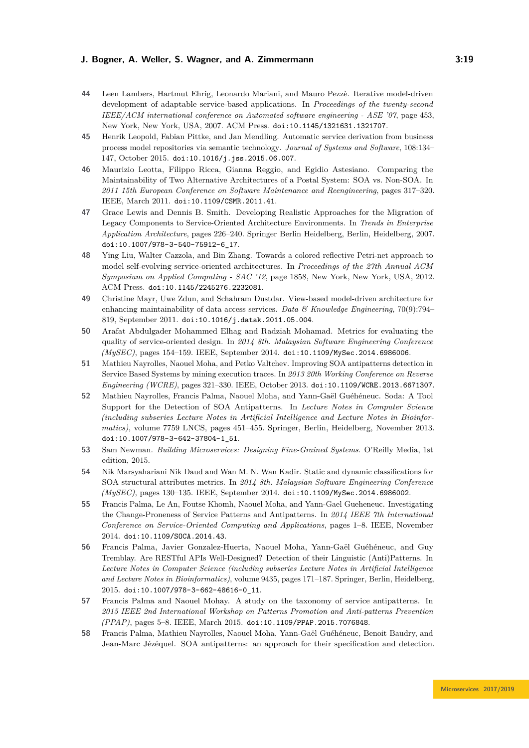- <span id="page-18-7"></span>**44** Leen Lambers, Hartmut Ehrig, Leonardo Mariani, and Mauro Pezzè. Iterative model-driven development of adaptable service-based applications. In *Proceedings of the twenty-second IEEE/ACM international conference on Automated software engineering - ASE '07*, page 453, New York, New York, USA, 2007. ACM Press. [doi:10.1145/1321631.1321707](https://doi.org/10.1145/1321631.1321707).
- <span id="page-18-4"></span>**45** Henrik Leopold, Fabian Pittke, and Jan Mendling. Automatic service derivation from business process model repositories via semantic technology. *Journal of Systems and Software*, 108:134– 147, October 2015. [doi:10.1016/j.jss.2015.06.007](https://doi.org/10.1016/j.jss.2015.06.007).
- <span id="page-18-14"></span>**46** Maurizio Leotta, Filippo Ricca, Gianna Reggio, and Egidio Astesiano. Comparing the Maintainability of Two Alternative Architectures of a Postal System: SOA vs. Non-SOA. In *2011 15th European Conference on Software Maintenance and Reengineering*, pages 317–320. IEEE, March 2011. [doi:10.1109/CSMR.2011.41](https://doi.org/10.1109/CSMR.2011.41).
- <span id="page-18-1"></span>**47** Grace Lewis and Dennis B. Smith. Developing Realistic Approaches for the Migration of Legacy Components to Service-Oriented Architecture Environments. In *Trends in Enterprise Application Architecture*, pages 226–240. Springer Berlin Heidelberg, Berlin, Heidelberg, 2007. [doi:10.1007/978-3-540-75912-6\\_17](https://doi.org/10.1007/978-3-540-75912-6_17).
- <span id="page-18-6"></span>**48** Ying Liu, Walter Cazzola, and Bin Zhang. Towards a colored reflective Petri-net approach to model self-evolving service-oriented architectures. In *Proceedings of the 27th Annual ACM Symposium on Applied Computing - SAC '12*, page 1858, New York, New York, USA, 2012. ACM Press. [doi:10.1145/2245276.2232081](https://doi.org/10.1145/2245276.2232081).
- <span id="page-18-2"></span>**49** Christine Mayr, Uwe Zdun, and Schahram Dustdar. View-based model-driven architecture for enhancing maintainability of data access services. *Data & Knowledge Engineering*, 70(9):794– 819, September 2011. [doi:10.1016/j.datak.2011.05.004](https://doi.org/10.1016/j.datak.2011.05.004).
- <span id="page-18-5"></span>**50** Arafat Abdulgader Mohammed Elhag and Radziah Mohamad. Metrics for evaluating the quality of service-oriented design. In *2014 8th. Malaysian Software Engineering Conference (MySEC)*, pages 154–159. IEEE, September 2014. [doi:10.1109/MySec.2014.6986006](https://doi.org/10.1109/MySec.2014.6986006).
- <span id="page-18-11"></span>**51** Mathieu Nayrolles, Naouel Moha, and Petko Valtchev. Improving SOA antipatterns detection in Service Based Systems by mining execution traces. In *2013 20th Working Conference on Reverse Engineering (WCRE)*, pages 321–330. IEEE, October 2013. [doi:10.1109/WCRE.2013.6671307](https://doi.org/10.1109/WCRE.2013.6671307).
- <span id="page-18-10"></span>**52** Mathieu Nayrolles, Francis Palma, Naouel Moha, and Yann-Gaël Guéhéneuc. Soda: A Tool Support for the Detection of SOA Antipatterns. In *Lecture Notes in Computer Science (including subseries Lecture Notes in Artificial Intelligence and Lecture Notes in Bioinformatics)*, volume 7759 LNCS, pages 451–455. Springer, Berlin, Heidelberg, November 2013. [doi:10.1007/978-3-642-37804-1\\_51](https://doi.org/10.1007/978-3-642-37804-1_51).
- <span id="page-18-0"></span>**53** Sam Newman. *Building Microservices: Designing Fine-Grained Systems*. O'Reilly Media, 1st edition, 2015.
- <span id="page-18-13"></span>**54** Nik Marsyahariani Nik Daud and Wan M. N. Wan Kadir. Static and dynamic classifications for SOA structural attributes metrics. In *2014 8th. Malaysian Software Engineering Conference (MySEC)*, pages 130–135. IEEE, September 2014. [doi:10.1109/MySec.2014.6986002](https://doi.org/10.1109/MySec.2014.6986002).
- <span id="page-18-8"></span>**55** Francis Palma, Le An, Foutse Khomh, Naouel Moha, and Yann-Gael Gueheneuc. Investigating the Change-Proneness of Service Patterns and Antipatterns. In *2014 IEEE 7th International Conference on Service-Oriented Computing and Applications*, pages 1–8. IEEE, November 2014. [doi:10.1109/SOCA.2014.43](https://doi.org/10.1109/SOCA.2014.43).
- <span id="page-18-12"></span>**56** Francis Palma, Javier Gonzalez-Huerta, Naouel Moha, Yann-Gaël Guéhéneuc, and Guy Tremblay. Are RESTful APIs Well-Designed? Detection of their Linguistic (Anti)Patterns. In *Lecture Notes in Computer Science (including subseries Lecture Notes in Artificial Intelligence and Lecture Notes in Bioinformatics)*, volume 9435, pages 171–187. Springer, Berlin, Heidelberg, 2015. [doi:10.1007/978-3-662-48616-0\\_11](https://doi.org/10.1007/978-3-662-48616-0_11).
- <span id="page-18-9"></span>**57** Francis Palma and Naouel Mohay. A study on the taxonomy of service antipatterns. In *2015 IEEE 2nd International Workshop on Patterns Promotion and Anti-patterns Prevention (PPAP)*, pages 5–8. IEEE, March 2015. [doi:10.1109/PPAP.2015.7076848](https://doi.org/10.1109/PPAP.2015.7076848).
- <span id="page-18-3"></span>**58** Francis Palma, Mathieu Nayrolles, Naouel Moha, Yann-Gaël Guéhéneuc, Benoit Baudry, and Jean-Marc Jézéquel. SOA antipatterns: an approach for their specification and detection.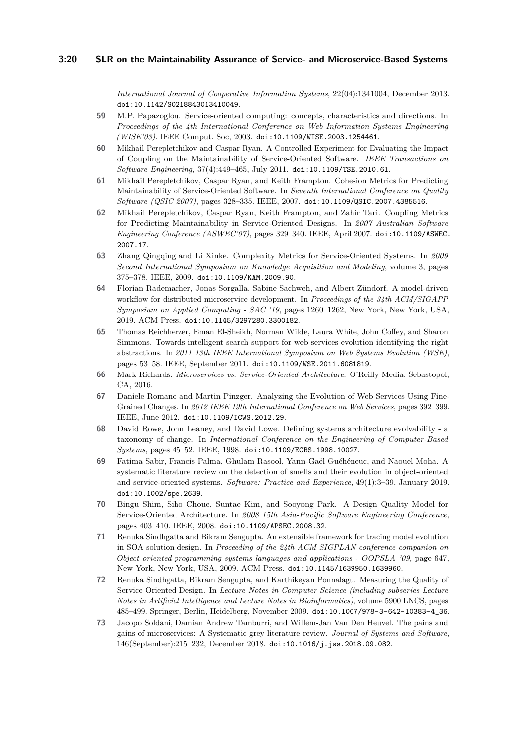*International Journal of Cooperative Information Systems*, 22(04):1341004, December 2013. [doi:10.1142/S0218843013410049](https://doi.org/10.1142/S0218843013410049).

- <span id="page-19-1"></span>**59** M.P. Papazoglou. Service-oriented computing: concepts, characteristics and directions. In *Proceedings of the 4th International Conference on Web Information Systems Engineering (WISE'03)*. IEEE Comput. Soc, 2003. [doi:10.1109/WISE.2003.1254461](https://doi.org/10.1109/WISE.2003.1254461).
- <span id="page-19-12"></span>**60** Mikhail Perepletchikov and Caspar Ryan. A Controlled Experiment for Evaluating the Impact of Coupling on the Maintainability of Service-Oriented Software. *IEEE Transactions on Software Engineering*, 37(4):449–465, July 2011. [doi:10.1109/TSE.2010.61](https://doi.org/10.1109/TSE.2010.61).
- <span id="page-19-9"></span>**61** Mikhail Perepletchikov, Caspar Ryan, and Keith Frampton. Cohesion Metrics for Predicting Maintainability of Service-Oriented Software. In *Seventh International Conference on Quality Software (QSIC 2007)*, pages 328–335. IEEE, 2007. [doi:10.1109/QSIC.2007.4385516](https://doi.org/10.1109/QSIC.2007.4385516).
- <span id="page-19-7"></span>**62** Mikhail Perepletchikov, Caspar Ryan, Keith Frampton, and Zahir Tari. Coupling Metrics for Predicting Maintainability in Service-Oriented Designs. In *2007 Australian Software Engineering Conference (ASWEC'07)*, pages 329–340. IEEE, April 2007. [doi:10.1109/ASWEC.](https://doi.org/10.1109/ASWEC.2007.17) [2007.17](https://doi.org/10.1109/ASWEC.2007.17).
- <span id="page-19-8"></span>**63** Zhang Qingqing and Li Xinke. Complexity Metrics for Service-Oriented Systems. In *2009 Second International Symposium on Knowledge Acquisition and Modeling*, volume 3, pages 375–378. IEEE, 2009. [doi:10.1109/KAM.2009.90](https://doi.org/10.1109/KAM.2009.90).
- <span id="page-19-14"></span>**64** Florian Rademacher, Jonas Sorgalla, Sabine Sachweh, and Albert Zündorf. A model-driven workflow for distributed microservice development. In *Proceedings of the 34th ACM/SIGAPP Symposium on Applied Computing - SAC '19*, pages 1260–1262, New York, New York, USA, 2019. ACM Press. [doi:10.1145/3297280.3300182](https://doi.org/10.1145/3297280.3300182).
- <span id="page-19-5"></span>**65** Thomas Reichherzer, Eman El-Sheikh, Norman Wilde, Laura White, John Coffey, and Sharon Simmons. Towards intelligent search support for web services evolution identifying the right abstractions. In *2011 13th IEEE International Symposium on Web Systems Evolution (WSE)*, pages 53–58. IEEE, September 2011. [doi:10.1109/WSE.2011.6081819](https://doi.org/10.1109/WSE.2011.6081819).
- <span id="page-19-2"></span>**66** Mark Richards. *Microservices vs. Service-Oriented Architecture*. O'Reilly Media, Sebastopol, CA, 2016.
- <span id="page-19-13"></span>**67** Daniele Romano and Martin Pinzger. Analyzing the Evolution of Web Services Using Fine-Grained Changes. In *2012 IEEE 19th International Conference on Web Services*, pages 392–399. IEEE, June 2012. [doi:10.1109/ICWS.2012.29](https://doi.org/10.1109/ICWS.2012.29).
- <span id="page-19-0"></span>**68** David Rowe, John Leaney, and David Lowe. Defining systems architecture evolvability - a taxonomy of change. In *International Conference on the Engineering of Computer-Based Systems*, pages 45–52. IEEE, 1998. [doi:10.1109/ECBS.1998.10027](https://doi.org/10.1109/ECBS.1998.10027).
- <span id="page-19-3"></span>**69** Fatima Sabir, Francis Palma, Ghulam Rasool, Yann-Gaël Guéhéneuc, and Naouel Moha. A systematic literature review on the detection of smells and their evolution in object-oriented and service-oriented systems. *Software: Practice and Experience*, 49(1):3–39, January 2019. [doi:10.1002/spe.2639](https://doi.org/10.1002/spe.2639).
- <span id="page-19-10"></span>**70** Bingu Shim, Siho Choue, Suntae Kim, and Sooyong Park. A Design Quality Model for Service-Oriented Architecture. In *2008 15th Asia-Pacific Software Engineering Conference*, pages 403–410. IEEE, 2008. [doi:10.1109/APSEC.2008.32](https://doi.org/10.1109/APSEC.2008.32).
- <span id="page-19-6"></span>**71** Renuka Sindhgatta and Bikram Sengupta. An extensible framework for tracing model evolution in SOA solution design. In *Proceeding of the 24th ACM SIGPLAN conference companion on Object oriented programming systems languages and applications - OOPSLA '09*, page 647, New York, New York, USA, 2009. ACM Press. [doi:10.1145/1639950.1639960](https://doi.org/10.1145/1639950.1639960).
- <span id="page-19-11"></span>**72** Renuka Sindhgatta, Bikram Sengupta, and Karthikeyan Ponnalagu. Measuring the Quality of Service Oriented Design. In *Lecture Notes in Computer Science (including subseries Lecture Notes in Artificial Intelligence and Lecture Notes in Bioinformatics)*, volume 5900 LNCS, pages 485–499. Springer, Berlin, Heidelberg, November 2009. [doi:10.1007/978-3-642-10383-4\\_36](https://doi.org/10.1007/978-3-642-10383-4_36).
- <span id="page-19-4"></span>**73** Jacopo Soldani, Damian Andrew Tamburri, and Willem-Jan Van Den Heuvel. The pains and gains of microservices: A Systematic grey literature review. *Journal of Systems and Software*, 146(September):215–232, December 2018. [doi:10.1016/j.jss.2018.09.082](https://doi.org/10.1016/j.jss.2018.09.082).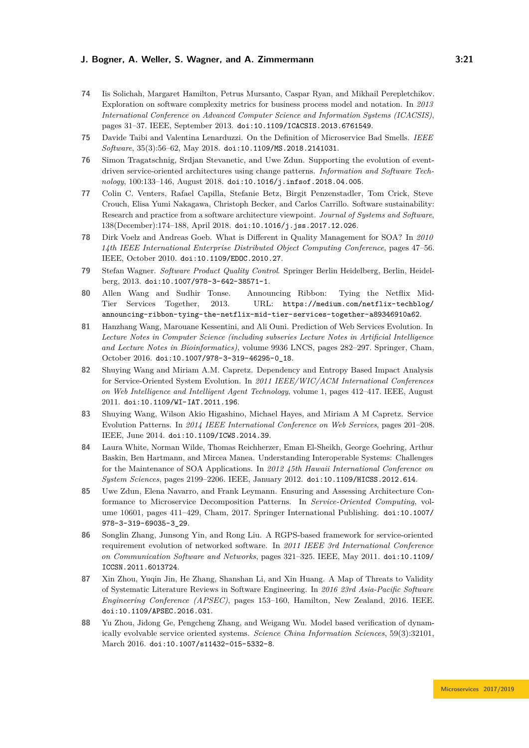- <span id="page-20-10"></span>**74** Iis Solichah, Margaret Hamilton, Petrus Mursanto, Caspar Ryan, and Mikhail Perepletchikov. Exploration on software complexity metrics for business process model and notation. In *2013 International Conference on Advanced Computer Science and Information Systems (ICACSIS)*, pages 31–37. IEEE, September 2013. [doi:10.1109/ICACSIS.2013.6761549](https://doi.org/10.1109/ICACSIS.2013.6761549).
- <span id="page-20-9"></span>**75** Davide Taibi and Valentina Lenarduzzi. On the Definition of Microservice Bad Smells. *IEEE Software*, 35(3):56–62, May 2018. [doi:10.1109/MS.2018.2141031](https://doi.org/10.1109/MS.2018.2141031).
- <span id="page-20-7"></span>**76** Simon Tragatschnig, Srdjan Stevanetic, and Uwe Zdun. Supporting the evolution of eventdriven service-oriented architectures using change patterns. *Information and Software Technology*, 100:133–146, August 2018. [doi:10.1016/j.infsof.2018.04.005](https://doi.org/10.1016/j.infsof.2018.04.005).
- <span id="page-20-3"></span>**77** Colin C. Venters, Rafael Capilla, Stefanie Betz, Birgit Penzenstadler, Tom Crick, Steve Crouch, Elisa Yumi Nakagawa, Christoph Becker, and Carlos Carrillo. Software sustainability: Research and practice from a software architecture viewpoint. *Journal of Systems and Software*, 138(December):174–188, April 2018. [doi:10.1016/j.jss.2017.12.026](https://doi.org/10.1016/j.jss.2017.12.026).
- <span id="page-20-2"></span>**78** Dirk Voelz and Andreas Goeb. What is Different in Quality Management for SOA? In *2010 14th IEEE International Enterprise Distributed Object Computing Conference*, pages 47–56. IEEE, October 2010. [doi:10.1109/EDOC.2010.27](https://doi.org/10.1109/EDOC.2010.27).
- <span id="page-20-0"></span>**79** Stefan Wagner. *Software Product Quality Control*. Springer Berlin Heidelberg, Berlin, Heidelberg, 2013. [doi:10.1007/978-3-642-38571-1](https://doi.org/10.1007/978-3-642-38571-1).
- <span id="page-20-1"></span>**80** Allen Wang and Sudhir Tonse. Announcing Ribbon: Tying the Netflix Mid-Tier Services Together, 2013. URL: [https://medium.com/netflix-techblog/](https://medium.com/netflix-techblog/announcing-ribbon-tying-the-netflix-mid-tier-services-together-a89346910a62) [announcing-ribbon-tying-the-netflix-mid-tier-services-together-a89346910a62](https://medium.com/netflix-techblog/announcing-ribbon-tying-the-netflix-mid-tier-services-together-a89346910a62).
- <span id="page-20-11"></span>**81** Hanzhang Wang, Marouane Kessentini, and Ali Ouni. Prediction of Web Services Evolution. In *Lecture Notes in Computer Science (including subseries Lecture Notes in Artificial Intelligence and Lecture Notes in Bioinformatics)*, volume 9936 LNCS, pages 282–297. Springer, Cham, October 2016. [doi:10.1007/978-3-319-46295-0\\_18](https://doi.org/10.1007/978-3-319-46295-0_18).
- <span id="page-20-12"></span>**82** Shuying Wang and Miriam A.M. Capretz. Dependency and Entropy Based Impact Analysis for Service-Oriented System Evolution. In *2011 IEEE/WIC/ACM International Conferences on Web Intelligence and Intelligent Agent Technology*, volume 1, pages 412–417. IEEE, August 2011. [doi:10.1109/WI-IAT.2011.196](https://doi.org/10.1109/WI-IAT.2011.196).
- <span id="page-20-4"></span>**83** Shuying Wang, Wilson Akio Higashino, Michael Hayes, and Miriam A M Capretz. Service Evolution Patterns. In *2014 IEEE International Conference on Web Services*, pages 201–208. IEEE, June 2014. [doi:10.1109/ICWS.2014.39](https://doi.org/10.1109/ICWS.2014.39).
- <span id="page-20-5"></span>**84** Laura White, Norman Wilde, Thomas Reichherzer, Eman El-Sheikh, George Goehring, Arthur Baskin, Ben Hartmann, and Mircea Manea. Understanding Interoperable Systems: Challenges for the Maintenance of SOA Applications. In *2012 45th Hawaii International Conference on System Sciences*, pages 2199–2206. IEEE, January 2012. [doi:10.1109/HICSS.2012.614](https://doi.org/10.1109/HICSS.2012.614).
- <span id="page-20-8"></span>**85** Uwe Zdun, Elena Navarro, and Frank Leymann. Ensuring and Assessing Architecture Conformance to Microservice Decomposition Patterns. In *Service-Oriented Computing*, volume 10601, pages 411–429, Cham, 2017. Springer International Publishing. [doi:10.1007/](https://doi.org/10.1007/978-3-319-69035-3_29) [978-3-319-69035-3\\_29](https://doi.org/10.1007/978-3-319-69035-3_29).
- <span id="page-20-13"></span>**86** Songlin Zhang, Junsong Yin, and Rong Liu. A RGPS-based framework for service-oriented requirement evolution of networked software. In *2011 IEEE 3rd International Conference on Communication Software and Networks*, pages 321–325. IEEE, May 2011. [doi:10.1109/](https://doi.org/10.1109/ICCSN.2011.6013724) [ICCSN.2011.6013724](https://doi.org/10.1109/ICCSN.2011.6013724).
- <span id="page-20-14"></span>**87** Xin Zhou, Yuqin Jin, He Zhang, Shanshan Li, and Xin Huang. A Map of Threats to Validity of Systematic Literature Reviews in Software Engineering. In *2016 23rd Asia-Pacific Software Engineering Conference (APSEC)*, pages 153–160, Hamilton, New Zealand, 2016. IEEE. [doi:10.1109/APSEC.2016.031](https://doi.org/10.1109/APSEC.2016.031).
- <span id="page-20-6"></span>**88** Yu Zhou, Jidong Ge, Pengcheng Zhang, and Weigang Wu. Model based verification of dynamically evolvable service oriented systems. *Science China Information Sciences*, 59(3):32101, March 2016. [doi:10.1007/s11432-015-5332-8](https://doi.org/10.1007/s11432-015-5332-8).